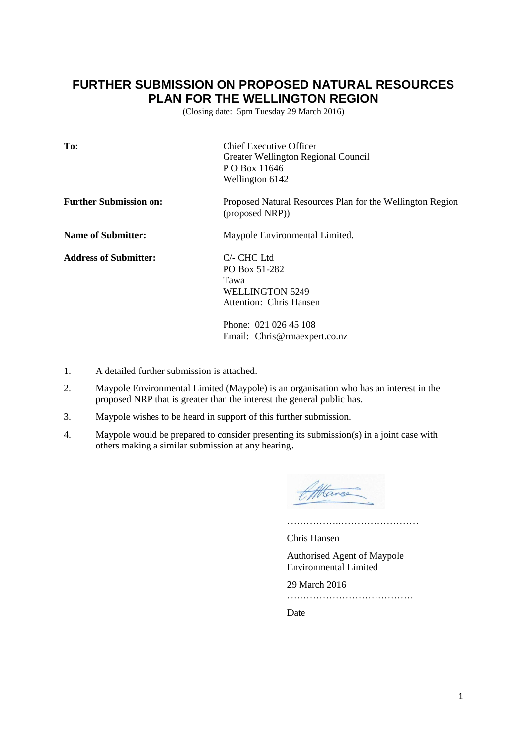## **FURTHER SUBMISSION ON PROPOSED NATURAL RESOURCES PLAN FOR THE WELLINGTON REGION**

(Closing date: 5pm Tuesday 29 March 2016)

| To:                           | <b>Chief Executive Officer</b><br>Greater Wellington Regional Council<br>P O Box 11646<br>Wellington 6142 |
|-------------------------------|-----------------------------------------------------------------------------------------------------------|
| <b>Further Submission on:</b> | Proposed Natural Resources Plan for the Wellington Region<br>(proposed NRP))                              |
| <b>Name of Submitter:</b>     | Maypole Environmental Limited.                                                                            |
| <b>Address of Submitter:</b>  | $C$ - CHC Ltd<br>PO Box 51-282<br>Tawa<br><b>WELLINGTON 5249</b><br>Attention: Chris Hansen               |
|                               | Phone: 021 026 45 108<br>Email: Chris@rmaexpert.co.nz                                                     |

- 1. A detailed further submission is attached.
- 2. Maypole Environmental Limited (Maypole) is an organisation who has an interest in the proposed NRP that is greater than the interest the general public has.
- 3. Maypole wishes to be heard in support of this further submission.
- 4. Maypole would be prepared to consider presenting its submission(s) in a joint case with others making a similar submission at any hearing.

Attance

……………..……………………

Chris Hansen

Authorised Agent of Maypole Environmental Limited

29 March 2016

…………………………………

Date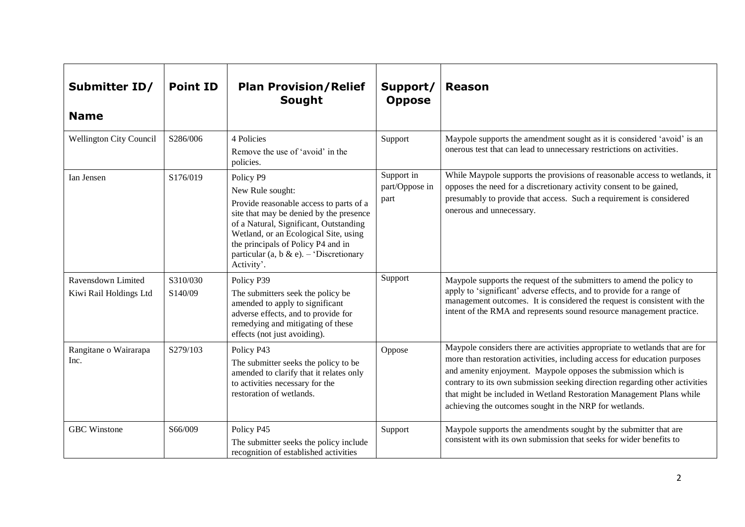| Submitter ID/<br><b>Name</b>                 | <b>Point ID</b>     | <b>Plan Provision/Relief</b><br>Sought                                                                                                                                                                                                                                                                | Support/<br><b>Oppose</b>            | <b>Reason</b>                                                                                                                                                                                                                                                                                                                                                                                                                               |
|----------------------------------------------|---------------------|-------------------------------------------------------------------------------------------------------------------------------------------------------------------------------------------------------------------------------------------------------------------------------------------------------|--------------------------------------|---------------------------------------------------------------------------------------------------------------------------------------------------------------------------------------------------------------------------------------------------------------------------------------------------------------------------------------------------------------------------------------------------------------------------------------------|
| <b>Wellington City Council</b>               | S286/006            | 4 Policies<br>Remove the use of 'avoid' in the<br>policies.                                                                                                                                                                                                                                           | Support                              | Maypole supports the amendment sought as it is considered 'avoid' is an<br>onerous test that can lead to unnecessary restrictions on activities.                                                                                                                                                                                                                                                                                            |
| Ian Jensen                                   | S176/019            | Policy P9<br>New Rule sought:<br>Provide reasonable access to parts of a<br>site that may be denied by the presence<br>of a Natural, Significant, Outstanding<br>Wetland, or an Ecological Site, using<br>the principals of Policy P4 and in<br>particular (a, b & e). – 'Discretionary<br>Activity'. | Support in<br>part/Oppose in<br>part | While Maypole supports the provisions of reasonable access to wetlands, it<br>opposes the need for a discretionary activity consent to be gained,<br>presumably to provide that access. Such a requirement is considered<br>onerous and unnecessary.                                                                                                                                                                                        |
| Ravensdown Limited<br>Kiwi Rail Holdings Ltd | S310/030<br>S140/09 | Policy P39<br>The submitters seek the policy be<br>amended to apply to significant<br>adverse effects, and to provide for<br>remedying and mitigating of these<br>effects (not just avoiding).                                                                                                        | Support                              | Maypole supports the request of the submitters to amend the policy to<br>apply to 'significant' adverse effects, and to provide for a range of<br>management outcomes. It is considered the request is consistent with the<br>intent of the RMA and represents sound resource management practice.                                                                                                                                          |
| Rangitane o Wairarapa<br>Inc.                | S279/103            | Policy P43<br>The submitter seeks the policy to be<br>amended to clarify that it relates only<br>to activities necessary for the<br>restoration of wetlands.                                                                                                                                          | Oppose                               | Maypole considers there are activities appropriate to wetlands that are for<br>more than restoration activities, including access for education purposes<br>and amenity enjoyment. Maypole opposes the submission which is<br>contrary to its own submission seeking direction regarding other activities<br>that might be included in Wetland Restoration Management Plans while<br>achieving the outcomes sought in the NRP for wetlands. |
| <b>GBC</b> Winstone                          | S66/009             | Policy P45<br>The submitter seeks the policy include<br>recognition of established activities                                                                                                                                                                                                         | Support                              | Maypole supports the amendments sought by the submitter that are<br>consistent with its own submission that seeks for wider benefits to                                                                                                                                                                                                                                                                                                     |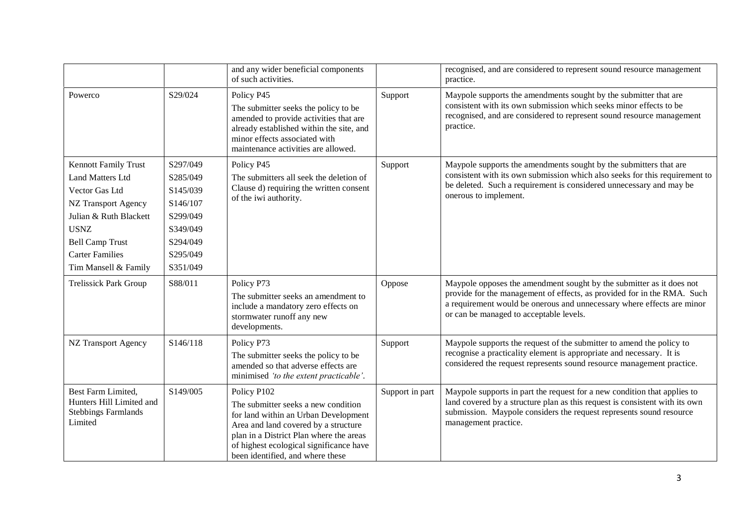|                                                                                                                                                                                                                             |                                                                                                          | and any wider beneficial components<br>of such activities.                                                                                                                                                                                                   |                 | recognised, and are considered to represent sound resource management<br>practice.                                                                                                                                                                                   |
|-----------------------------------------------------------------------------------------------------------------------------------------------------------------------------------------------------------------------------|----------------------------------------------------------------------------------------------------------|--------------------------------------------------------------------------------------------------------------------------------------------------------------------------------------------------------------------------------------------------------------|-----------------|----------------------------------------------------------------------------------------------------------------------------------------------------------------------------------------------------------------------------------------------------------------------|
| Powerco                                                                                                                                                                                                                     | S29/024                                                                                                  | Policy P45<br>The submitter seeks the policy to be<br>amended to provide activities that are<br>already established within the site, and<br>minor effects associated with<br>maintenance activities are allowed.                                             | Support         | Maypole supports the amendments sought by the submitter that are<br>consistent with its own submission which seeks minor effects to be<br>recognised, and are considered to represent sound resource management<br>practice.                                         |
| <b>Kennott Family Trust</b><br><b>Land Matters Ltd</b><br>Vector Gas Ltd<br><b>NZ Transport Agency</b><br>Julian & Ruth Blackett<br><b>USNZ</b><br><b>Bell Camp Trust</b><br><b>Carter Families</b><br>Tim Mansell & Family | S297/049<br>S285/049<br>S145/039<br>S146/107<br>S299/049<br>S349/049<br>S294/049<br>S295/049<br>S351/049 | Policy P45<br>The submitters all seek the deletion of<br>Clause d) requiring the written consent<br>of the iwi authority.                                                                                                                                    | Support         | Maypole supports the amendments sought by the submitters that are<br>consistent with its own submission which also seeks for this requirement to<br>be deleted. Such a requirement is considered unnecessary and may be<br>onerous to implement.                     |
| <b>Trelissick Park Group</b>                                                                                                                                                                                                | S88/011                                                                                                  | Policy P73<br>The submitter seeks an amendment to<br>include a mandatory zero effects on<br>stormwater runoff any new<br>developments.                                                                                                                       | Oppose          | Maypole opposes the amendment sought by the submitter as it does not<br>provide for the management of effects, as provided for in the RMA. Such<br>a requirement would be onerous and unnecessary where effects are minor<br>or can be managed to acceptable levels. |
| <b>NZ Transport Agency</b>                                                                                                                                                                                                  | S146/118                                                                                                 | Policy P73<br>The submitter seeks the policy to be<br>amended so that adverse effects are<br>minimised 'to the extent practicable'.                                                                                                                          | Support         | Maypole supports the request of the submitter to amend the policy to<br>recognise a practicality element is appropriate and necessary. It is<br>considered the request represents sound resource management practice.                                                |
| Best Farm Limited,<br>Hunters Hill Limited and<br><b>Stebbings Farmlands</b><br>Limited                                                                                                                                     | S149/005                                                                                                 | Policy P102<br>The submitter seeks a new condition<br>for land within an Urban Development<br>Area and land covered by a structure<br>plan in a District Plan where the areas<br>of highest ecological significance have<br>been identified, and where these | Support in part | Maypole supports in part the request for a new condition that applies to<br>land covered by a structure plan as this request is consistent with its own<br>submission. Maypole considers the request represents sound resource<br>management practice.               |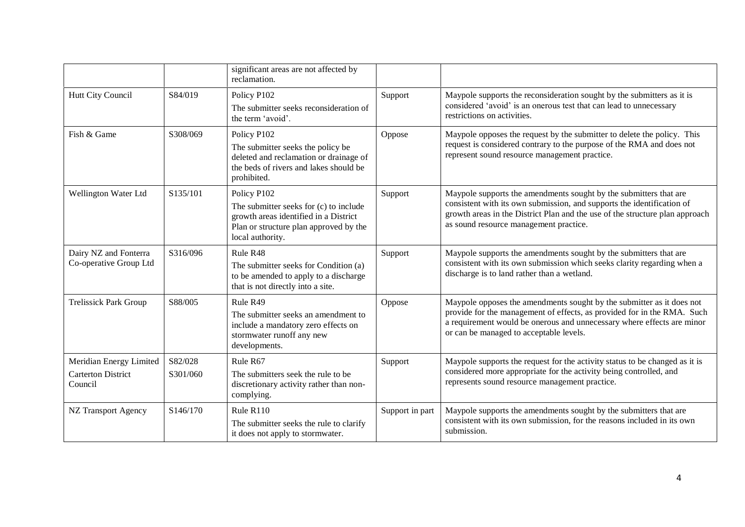|                                                 |                                                                                                                                                                                     | significant areas are not affected by<br>reclamation.                                                                                                                                            |                                                                                                                        |                                                                                                                                                                                                                                                                       |
|-------------------------------------------------|-------------------------------------------------------------------------------------------------------------------------------------------------------------------------------------|--------------------------------------------------------------------------------------------------------------------------------------------------------------------------------------------------|------------------------------------------------------------------------------------------------------------------------|-----------------------------------------------------------------------------------------------------------------------------------------------------------------------------------------------------------------------------------------------------------------------|
| Hutt City Council                               | S84/019                                                                                                                                                                             | Policy P102                                                                                                                                                                                      | Support                                                                                                                | Maypole supports the reconsideration sought by the submitters as it is<br>considered 'avoid' is an onerous test that can lead to unnecessary<br>restrictions on activities.                                                                                           |
|                                                 |                                                                                                                                                                                     | The submitter seeks reconsideration of<br>the term 'avoid'.                                                                                                                                      |                                                                                                                        |                                                                                                                                                                                                                                                                       |
| Fish & Game                                     | S308/069                                                                                                                                                                            | Policy P102                                                                                                                                                                                      | Oppose                                                                                                                 | Maypole opposes the request by the submitter to delete the policy. This                                                                                                                                                                                               |
|                                                 | The submitter seeks the policy be<br>deleted and reclamation or drainage of<br>the beds of rivers and lakes should be<br>prohibited.                                                |                                                                                                                                                                                                  | request is considered contrary to the purpose of the RMA and does not<br>represent sound resource management practice. |                                                                                                                                                                                                                                                                       |
| Wellington Water Ltd                            | S135/101<br>Policy P102<br>Support<br>The submitter seeks for (c) to include<br>growth areas identified in a District<br>Plan or structure plan approved by the<br>local authority. |                                                                                                                                                                                                  |                                                                                                                        | Maypole supports the amendments sought by the submitters that are                                                                                                                                                                                                     |
|                                                 |                                                                                                                                                                                     | consistent with its own submission, and supports the identification of<br>growth areas in the District Plan and the use of the structure plan approach<br>as sound resource management practice. |                                                                                                                        |                                                                                                                                                                                                                                                                       |
| Dairy NZ and Fonterra<br>Co-operative Group Ltd | S316/096                                                                                                                                                                            | Rule R48                                                                                                                                                                                         | Support                                                                                                                | Maypole supports the amendments sought by the submitters that are<br>consistent with its own submission which seeks clarity regarding when a<br>discharge is to land rather than a wetland.                                                                           |
|                                                 |                                                                                                                                                                                     | The submitter seeks for Condition (a)<br>to be amended to apply to a discharge<br>that is not directly into a site.                                                                              |                                                                                                                        |                                                                                                                                                                                                                                                                       |
| <b>Trelissick Park Group</b>                    | S88/005                                                                                                                                                                             | Rule R49                                                                                                                                                                                         | Oppose                                                                                                                 | Maypole opposes the amendments sought by the submitter as it does not<br>provide for the management of effects, as provided for in the RMA. Such<br>a requirement would be onerous and unnecessary where effects are minor<br>or can be managed to acceptable levels. |
|                                                 |                                                                                                                                                                                     | The submitter seeks an amendment to<br>include a mandatory zero effects on<br>stormwater runoff any new<br>developments.                                                                         |                                                                                                                        |                                                                                                                                                                                                                                                                       |
| Meridian Energy Limited                         | S82/028                                                                                                                                                                             | Rule R67                                                                                                                                                                                         | Support                                                                                                                | Maypole supports the request for the activity status to be changed as it is<br>considered more appropriate for the activity being controlled, and<br>represents sound resource management practice.                                                                   |
| <b>Carterton District</b><br>Council            | S301/060                                                                                                                                                                            | The submitters seek the rule to be<br>discretionary activity rather than non-<br>complying.                                                                                                      |                                                                                                                        |                                                                                                                                                                                                                                                                       |
| <b>NZ Transport Agency</b>                      | S146/170<br>Rule R110<br>The submitter seeks the rule to clarify<br>it does not apply to stormwater.                                                                                |                                                                                                                                                                                                  | Support in part                                                                                                        | Maypole supports the amendments sought by the submitters that are                                                                                                                                                                                                     |
|                                                 |                                                                                                                                                                                     |                                                                                                                                                                                                  | consistent with its own submission, for the reasons included in its own<br>submission.                                 |                                                                                                                                                                                                                                                                       |